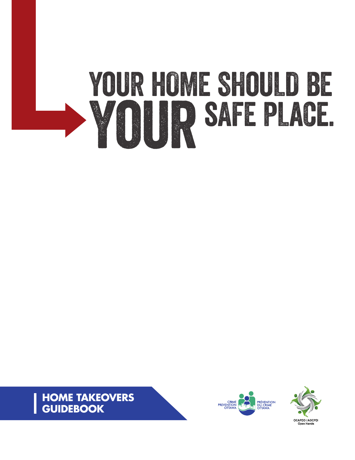# YOUR HOME SHOULD BE YoursAFE PLaCe.





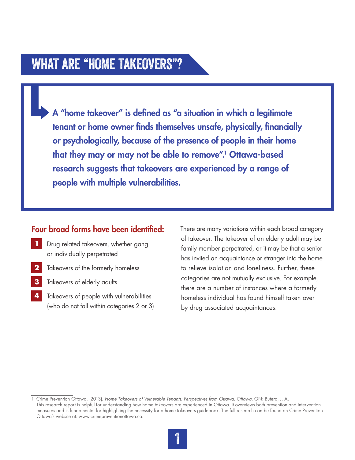### WHAT ARE "HOME TAKEOVERS"?

A "home takeover" is defined as "a situation in which a legitimate tenant or home owner finds themselves unsafe, physically, financially or psychologically, because of the presence of people in their home that they may or may not be able to remove".1 Ottawa-based research suggests that takeovers are experienced by a range of people with multiple vulnerabilities.

### Four broad forms have been identified:

- **1** Drug related takeovers, whether gang or individually perpetrated
- **2** Takeovers of the formerly homeless
- **3** Takeovers of elderly adults
- **4** Takeovers of people with vulnerabilities (who do not fall within categories 2 or 3)

There are many variations within each broad category of takeover. The takeover of an elderly adult may be family member perpetrated, or it may be that a senior has invited an acquaintance or stranger into the home to relieve isolation and loneliness. Further, these categories are not mutually exclusive. For example, there are a number of instances where a formerly homeless individual has found himself taken over by drug associated acquaintances.

<sup>1</sup> Crime Prevention Ottawa. (2013). *Home Takeovers of Vulnerable Tenants: Perspectives from Ottawa. Ottawa*, ON: Butera, J. A. This research report is helpful for understanding how home takeovers are experienced in Ottawa. It overviews both prevention and intervention measures and is fundamental for highlighting the necessity for a home takeovers guidebook. The full research can be found on Crime Prevention Ottawa's website at: www.crimepreventionottawa.ca.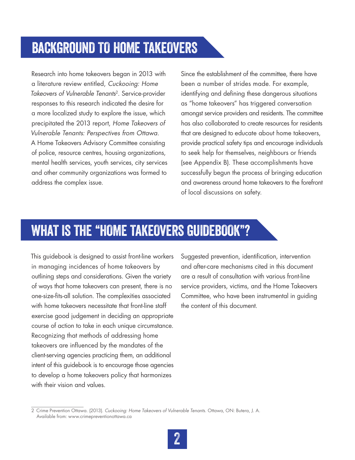# BaCKGRoUND TO HoME TAKeOVERS

Research into home takeovers began in 2013 with a literature review entitled, *Cuckooing: Home Takeovers of Vulnerable Tenants*2. Service-provider responses to this research indicated the desire for a more localized study to explore the issue, which precipitated the 2013 report, *Home Takeovers of Vulnerable Tenants: Perspectives from Ottawa*. A Home Takeovers Advisory Committee consisting of police, resource centres, housing organizations, mental health services, youth services, city services and other community organizations was formed to address the complex issue.

Since the establishment of the committee, there have been a number of strides made. For example, identifying and defining these dangerous situations as "home takeovers" has triggered conversation amongst service providers and residents. The committee has also collaborated to create resources for residents that are designed to educate about home takeovers, provide practical safety tips and encourage individuals to seek help for themselves, neighbours or friends (see Appendix B). These accomplishments have successfully begun the process of bringing education and awareness around home takeovers to the forefront of local discussions on safety.

# WHAT IS THE "HOME TAKEOVERS GUIDEBOOK"?

This guidebook is designed to assist front-line workers in managing incidences of home takeovers by outlining steps and considerations. Given the variety of ways that home takeovers can present, there is no one-size-fits-all solution. The complexities associated with home takeovers necessitate that front-line staff exercise good judgement in deciding an appropriate course of action to take in each unique circumstance. Recognizing that methods of addressing home takeovers are influenced by the mandates of the client-serving agencies practicing them, an additional intent of this guidebook is to encourage those agencies to develop a home takeovers policy that harmonizes with their vision and values.

Suggested prevention, identification, intervention and after-care mechanisms cited in this document are a result of consultation with various front-line service providers, victims, and the Home Takeovers Committee, who have been instrumental in guiding the content of this document.

<sup>2</sup> Crime Prevention Ottawa. (2013). *Cuckooing: Home Takeovers of Vulnerable Tenants.* Ottawa, ON: Butera, J. A. Available from: www.crimepreventionottawa.ca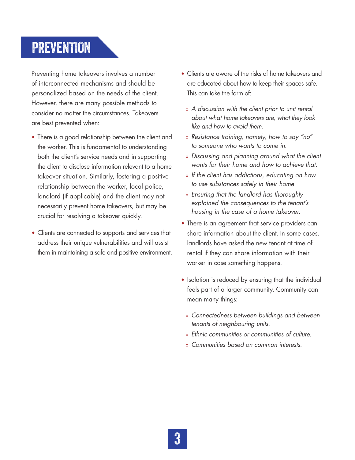# PREVENTION

Preventing home takeovers involves a number of interconnected mechanisms and should be personalized based on the needs of the client. However, there are many possible methods to consider no matter the circumstances. Takeovers are best prevented when:

- **•** There is a good relationship between the client and the worker. This is fundamental to understanding both the client's service needs and in supporting the client to disclose information relevant to a home takeover situation. Similarly, fostering a positive relationship between the worker, local police, landlord (if applicable) and the client may not necessarily prevent home takeovers, but may be crucial for resolving a takeover quickly.
- **•** Clients are connected to supports and services that address their unique vulnerabilities and will assist them in maintaining a safe and positive environment.
- **•** Clients are aware of the risks of home takeovers and are educated about how to keep their spaces safe. This can take the form of:
	- » *A discussion with the client prior to unit rental about what home takeovers are, what they look like and how to avoid them.*
	- » *Resistance training, namely, how to say "no" to someone who wants to come in.*
	- » *Discussing and planning around what the client wants for their home and how to achieve that.*
	- » *If the client has addictions, educating on how to use substances safely in their home.*
	- » *Ensuring that the landlord has thoroughly explained the consequences to the tenant's housing in the case of a home takeover.*
- **•** There is an agreement that service providers can share information about the client. In some cases, landlords have asked the new tenant at time of rental if they can share information with their worker in case something happens.
- **•** Isolation is reduced by ensuring that the individual feels part of a larger community. Community can mean many things:
	- » *Connectedness between buildings and between tenants of neighbouring units.*
	- » *Ethnic communities or communities of culture.*
	- » *Communities based on common interests.*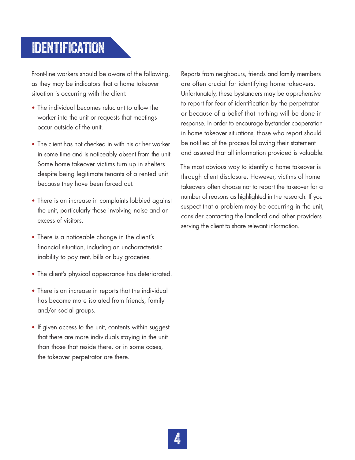# **IDENTIFICATION**

Front-line workers should be aware of the following, as they may be indicators that a home takeover situation is occurring with the client:

- **•** The individual becomes reluctant to allow the worker into the unit or requests that meetings occur outside of the unit.
- **•** The client has not checked in with his or her worker in some time and is noticeably absent from the unit. Some home takeover victims turn up in shelters despite being legitimate tenants of a rented unit because they have been forced out.
- **•** There is an increase in complaints lobbied against the unit, particularly those involving noise and an excess of visitors.
- **•** There is a noticeable change in the client's financial situation, including an uncharacteristic inability to pay rent, bills or buy groceries.
- **•** The client's physical appearance has deteriorated.
- **•** There is an increase in reports that the individual has become more isolated from friends, family and/or social groups.
- **•** If given access to the unit, contents within suggest that there are more individuals staying in the unit than those that reside there, or in some cases, the takeover perpetrator are there.

Reports from neighbours, friends and family members are often crucial for identifying home takeovers. Unfortunately, these bystanders may be apprehensive to report for fear of identification by the perpetrator or because of a belief that nothing will be done in response. In order to encourage bystander cooperation in home takeover situations, those who report should be notified of the process following their statement and assured that all information provided is valuable.

The most obvious way to identify a home takeover is through client disclosure. However, victims of home takeovers often choose not to report the takeover for a number of reasons as highlighted in the research. If you suspect that a problem may be occurring in the unit, consider contacting the landlord and other providers serving the client to share relevant information.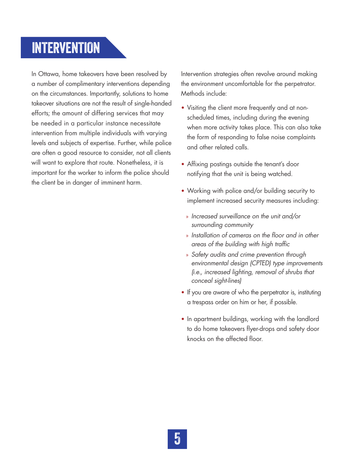# INTERVENTION

In Ottawa, home takeovers have been resolved by a number of complimentary interventions depending on the circumstances. Importantly, solutions to home takeover situations are not the result of single-handed efforts; the amount of differing services that may be needed in a particular instance necessitate intervention from multiple individuals with varying levels and subjects of expertise. Further, while police are often a good resource to consider, not all clients will want to explore that route. Nonetheless, it is important for the worker to inform the police should the client be in danger of imminent harm.

Intervention strategies often revolve around making the environment uncomfortable for the perpetrator. Methods include:

- **•** Visiting the client more frequently and at nonscheduled times, including during the evening when more activity takes place. This can also take the form of responding to false noise complaints and other related calls.
- **•** Affixing postings outside the tenant's door notifying that the unit is being watched.
- **•** Working with police and/or building security to implement increased security measures including:
	- » *Increased surveillance on the unit and/or surrounding community*
	- » *Installation of cameras on the floor and in other areas of the building with high traffic*
	- » *Safety audits and crime prevention through environmental design (CPTED) type improvements (i.e., increased lighting, removal of shrubs that conceal sight-lines)*
- **•** If you are aware of who the perpetrator is, instituting a trespass order on him or her, if possible.
- **•** In apartment buildings, working with the landlord to do home takeovers flyer-drops and safety door knocks on the affected floor.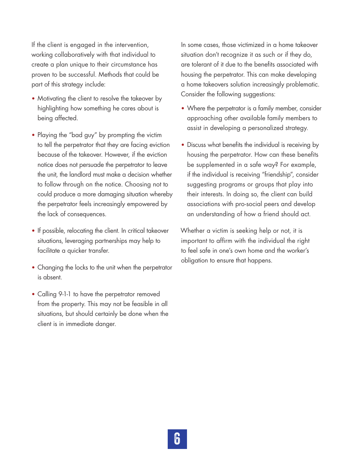If the client is engaged in the intervention, working collaboratively with that individual to create a plan unique to their circumstance has proven to be successful. Methods that could be part of this strategy include:

- Motivating the client to resolve the takeover by highlighting how something he cares about is being affected.
- **•** Playing the "bad guy" by prompting the victim to tell the perpetrator that they are facing eviction because of the takeover. However, if the eviction notice does not persuade the perpetrator to leave the unit, the landlord must make a decision whether to follow through on the notice. Choosing not to could produce a more damaging situation whereby the perpetrator feels increasingly empowered by the lack of consequences.
- **•** If possible, relocating the client. In critical takeover situations, leveraging partnerships may help to facilitate a quicker transfer.
- **•** Changing the locks to the unit when the perpetrator is absent.
- **•** Calling 9-1-1 to have the perpetrator removed from the property. This may not be feasible in all situations, but should certainly be done when the client is in immediate danger.

In some cases, those victimized in a home takeover situation don't recognize it as such or if they do, are tolerant of it due to the benefits associated with housing the perpetrator. This can make developing a home takeovers solution increasingly problematic. Consider the following suggestions:

- **•** Where the perpetrator is a family member, consider approaching other available family members to assist in developing a personalized strategy.
- **•** Discuss what benefits the individual is receiving by housing the perpetrator. How can these benefits be supplemented in a safe way? For example, if the individual is receiving "friendship", consider suggesting programs or groups that play into their interests. In doing so, the client can build associations with pro-social peers and develop an understanding of how a friend should act.

Whether a victim is seeking help or not, it is important to affirm with the individual the right to feel safe in one's own home and the worker's obligation to ensure that happens.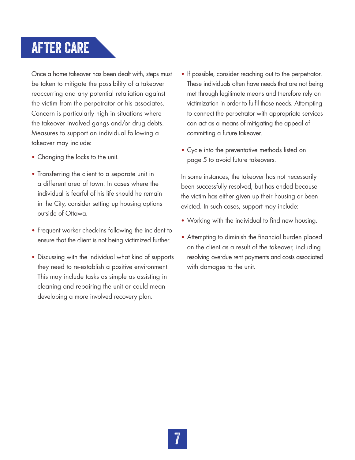# AFTER CARE

Once a home takeover has been dealt with, steps must be taken to mitigate the possibility of a takeover reoccurring and any potential retaliation against the victim from the perpetrator or his associates. Concern is particularly high in situations where the takeover involved gangs and/or drug debts. Measures to support an individual following a takeover may include:

- **•** Changing the locks to the unit.
- **•** Transferring the client to a separate unit in a different area of town. In cases where the individual is fearful of his life should he remain in the City, consider setting up housing options outside of Ottawa.
- **•** Frequent worker check-ins following the incident to ensure that the client is not being victimized further.
- **•** Discussing with the individual what kind of supports they need to re-establish a positive environment. This may include tasks as simple as assisting in cleaning and repairing the unit or could mean developing a more involved recovery plan.
- **•** If possible, consider reaching out to the perpetrator. These individuals often have needs that are not being met through legitimate means and therefore rely on victimization in order to fulfil those needs. Attempting to connect the perpetrator with appropriate services can act as a means of mitigating the appeal of committing a future takeover.
- **•** Cycle into the preventative methods listed on page 5 to avoid future takeovers.

In some instances, the takeover has not necessarily been successfully resolved, but has ended because the victim has either given up their housing or been evicted. In such cases, support may include:

- **•** Working with the individual to find new housing.
- **•** Attempting to diminish the financial burden placed on the client as a result of the takeover, including resolving overdue rent payments and costs associated with damages to the unit.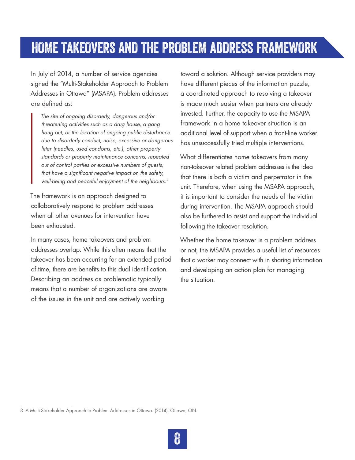# HOME TAKEOVERS AND THE PROBLEM ADDRESS FRAMEWORK

In July of 2014, a number of service agencies signed the "Multi-Stakeholder Approach to Problem Addresses in Ottawa" (MSAPA). Problem addresses are defined as:

*The site of ongoing disorderly, dangerous and/or threatening activities such as a drug house, a gang hang out, or the location of ongoing public disturbance due to disorderly conduct, noise, excessive or dangerous litter (needles, used condoms, etc.), other property standards or property maintenance concerns, repeated out of control parties or excessive numbers of guests, that have a significant negative impact on the safety, well-being and peaceful enjoyment of the neighbours.3*

The framework is an approach designed to collaboratively respond to problem addresses when all other avenues for intervention have been exhausted.

In many cases, home takeovers and problem addresses overlap. While this often means that the takeover has been occurring for an extended period of time, there are benefits to this dual identification. Describing an address as problematic typically means that a number of organizations are aware of the issues in the unit and are actively working

toward a solution. Although service providers may have different pieces of the information puzzle, a coordinated approach to resolving a takeover is made much easier when partners are already invested. Further, the capacity to use the MSAPA framework in a home takeover situation is an additional level of support when a front-line worker has unsuccessfully tried multiple interventions.

What differentiates home takeovers from many non-takeover related problem addresses is the idea that there is both a victim and perpetrator in the unit. Therefore, when using the MSAPA approach, it is important to consider the needs of the victim during intervention. The MSAPA approach should also be furthered to assist and support the individual following the takeover resolution.

Whether the home takeover is a problem address or not, the MSAPA provides a useful list of resources that a worker may connect with in sharing information and developing an action plan for managing the situation.

<sup>3</sup> A Multi-Stakeholder Approach to Problem Addresses in Ottawa. (2014). Ottawa, ON.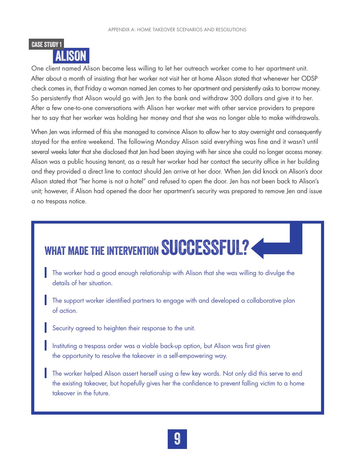

One client named Alison became less willing to let her outreach worker come to her apartment unit. After about a month of insisting that her worker not visit her at home Alison stated that whenever her ODSP check comes in, that Friday a woman named Jen comes to her apartment and persistently asks to borrow money. So persistently that Alison would go with Jen to the bank and withdraw 300 dollars and give it to her. After a few one-to-one conversations with Alison her worker met with other service providers to prepare her to say that her worker was holding her money and that she was no longer able to make withdrawals.

When Jen was informed of this she managed to convince Alison to allow her to stay overnight and consequently stayed for the entire weekend. The following Monday Alison said everything was fine and it wasn't until several weeks later that she disclosed that Jen had been staying with her since she could no longer access money. Alison was a public housing tenant, as a result her worker had her contact the security office in her building and they provided a direct line to contact should Jen arrive at her door. When Jen did knock on Alison's door Alison stated that "her home is not a hotel" and refused to open the door. Jen has not been back to Alison's unit; however, if Alison had opened the door her apartment's security was prepared to remove Jen and issue a no trespass notice.

# WHAT MADE THE INTERVENTION SUCCESSFUL?

- The worker had a good enough relationship with Alison that she was willing to divulge the details of her situation.
- The support worker identified partners to engage with and developed a collaborative plan of action.
- Security agreed to heighten their response to the unit.
- Instituting a trespass order was a viable back-up option, but Alison was first given the opportunity to resolve the takeover in a self-empowering way.
- The worker helped Alison assert herself using a few key words. Not only did this serve to end the existing takeover, but hopefully gives her the confidence to prevent falling victim to a home takeover in the future.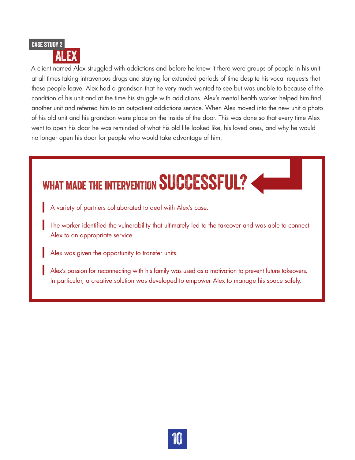

A client named Alex struggled with addictions and before he knew it there were groups of people in his unit at all times taking intravenous drugs and staying for extended periods of time despite his vocal requests that these people leave. Alex had a grandson that he very much wanted to see but was unable to because of the condition of his unit and at the time his struggle with addictions. Alex's mental health worker helped him find another unit and referred him to an outpatient addictions service. When Alex moved into the new unit a photo of his old unit and his grandson were place on the inside of the door. This was done so that every time Alex went to open his door he was reminded of what his old life looked like, his loved ones, and why he would no longer open his door for people who would take advantage of him.

# WHAT MADE THE INTERVENTION SUCCESSFUL?

- A variety of partners collaborated to deal with Alex's case.
- The worker identified the vulnerability that ultimately led to the takeover and was able to connect Alex to an appropriate service.
- Alex was given the opportunity to transfer units.
- Alex's passion for reconnecting with his family was used as a motivation to prevent future takeovers. In particular, a creative solution was developed to empower Alex to manage his space safely.

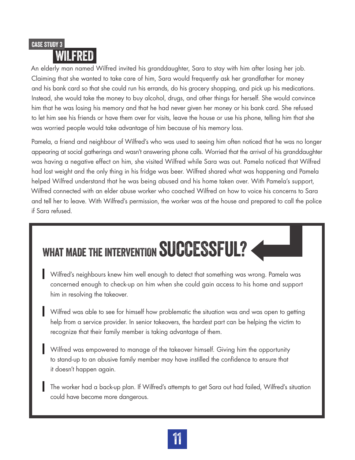### WILFRED CASE STUDY 3

An elderly man named Wilfred invited his granddaughter, Sara to stay with him after losing her job. Claiming that she wanted to take care of him, Sara would frequently ask her grandfather for money and his bank card so that she could run his errands, do his grocery shopping, and pick up his medications. Instead, she would take the money to buy alcohol, drugs, and other things for herself. She would convince him that he was losing his memory and that he had never given her money or his bank card. She refused to let him see his friends or have them over for visits, leave the house or use his phone, telling him that she was worried people would take advantage of him because of his memory loss.

Pamela, a friend and neighbour of Wilfred's who was used to seeing him often noticed that he was no longer appearing at social gatherings and wasn't answering phone calls. Worried that the arrival of his granddaughter was having a negative effect on him, she visited Wilfred while Sara was out. Pamela noticed that Wilfred had lost weight and the only thing in his fridge was beer. Wilfred shared what was happening and Pamela helped Wilfred understand that he was being abused and his home taken over. With Pamela's support, Wilfred connected with an elder abuse worker who coached Wilfred on how to voice his concerns to Sara and tell her to leave. With Wilfred's permission, the worker was at the house and prepared to call the police if Sara refused.

# WHAT MADE THE INTERVENTION SUCCESSFUL?

- Wilfred's neighbours knew him well enough to detect that something was wrong. Pamela was concerned enough to check-up on him when she could gain access to his home and support him in resolving the takeover.
- Wilfred was able to see for himself how problematic the situation was and was open to getting help from a service provider. In senior takeovers, the hardest part can be helping the victim to recognize that their family member is taking advantage of them.
- Wilfred was empowered to manage of the takeover himself. Giving him the opportunity to stand-up to an abusive family member may have instilled the confidence to ensure that it doesn't happen again.
- The worker had a back-up plan. If Wilfred's attempts to get Sara out had failed, Wilfred's situation could have become more dangerous.

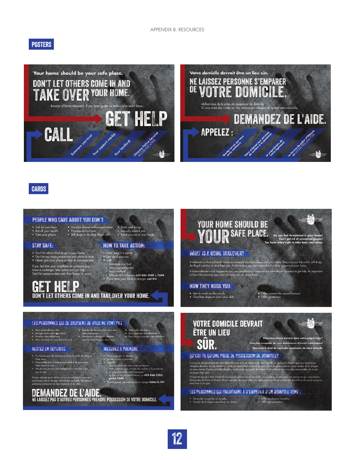#### **POSTERS**





#### **CARDS**

#### PEOPLE WHO CARE ABOUT YOU DON'T: **YOUR HOME SHOULD BE** Use your shower without permission \*\*\* Steal your things<br>\*\*\* Threaten or hurt you \*\*\*\* Sexually assault you \*\*\*<br>\*\*\* Sell drugs or do other illegal stuff \*\*\* Force you out of you • Ask for your keys<br>• Eat all your food »<br>• Take your phone **YOUR SAFE PLACE.** By you feel threatened **STAY SAFE: HOW TO TAKE ACTION:** • Dor I keep it a secret<br>
• Get out if you can.<br>
• Get out if you can.<br>
• Your sapport work<br>
• Your sample of<br>
• Your landford<br>
• Your landford<br>
• Chrowa Folice Service 613-236-1222 x 7300<br>
• If you think your life is in • Don't let others deal drugs in your home.<br>• Don't let too many people into your place at once.<br>• Never give your phone or keys to someone else. **WHAT IS A HOME TAKEOVER?** .<br>A takeower is when a friend, relative or scenearie you know takes over your hame. They may use it to crash, sell drugs<br>do illegal activities or steal from you. As the tenant, you are responsible for what happens in your If you feel that your neighbour or someone you<br>know is in danger, take action and get help.<br>Don't let someone take over their home, or yours .<br>A home tokeover could happen to you, your neighbour or st<br>to know the warning signs and what you can do about then need to get help. It's GET HELP HOW THEY HOOK YOU: • Ask to crash on the couch<br>• Give free dope or clear your debt • Offer women for sexual favours<br>• Offer protection DON'T LET OTHERS COME IN AND TAKE OVER YOUR HOME. **VOTRE DOMICILE DEVRAIT** LES PERSONNES QUI SE SOUCIENT DE VOUS NE VONT PAS : . Vous v ÊTRE UN LIEU · Prendre de douches Manger toute votre regumiture;<br>Prendre votre téléphone,<br>Vous menacer ou vous faire du mal, vatre permission;<br>• Vendre de la drague ou d'autres<br>• marchandises illégales chez vous; SÛR. **MESURES À PRENDRE** RESTEZ EN SÉCURITÉ Ne laissez pas des personnes faire du trafic de dri .<br>• Ne cachez pas la situation.<br>• Sociaz, si vous le pouvez. OU'EST-DE OU'UNE PRISE DE POSSESSION DE DOMICILE? chez vous;<br>N'accueillez pas un trop grand no<br>chez vous à la fois;<br>Ne dannez jamais votre téléphon<br>un ce seil s le pos .<br>Vy a prise do postession de vate domicile si un ami, un membre de sono famillo ou geologiun d'autre que vaux comais<br>ou pour mener d'autres activités d'écoles, et elle pour espectre de varier de l'autres pours pour verdre - Qualquien an qui vous avez conhance;<br>- Vathe prispasi oux services de soutien à la personne;<br>- Le Service de police d'Ottawa, au **613-236-1222,**<br>- Le Service de police d'Ottawa, au **613-236-1222,** N'importe qui peut être victime d'une prise de possosion de domicile : vous même, un voisin ou une personne que vous aimez<br>Demandez de l'aide au besoin. Il est important de reconnaître les signes de prise de possession de

us pensez qu'un voisin ou qu'une personne que vour<br>aissez est en danger, demondez de l'aide. Ne laissez<br>nne s'emparer de leur domicile ni du vôtre.

 $ste\,7300$ 

# **DEMANDEZ DE L'AIDE.**<br>NE LAISSEZ PAS D'AUTRES PERSONNES PRENDRE POSSESSION DE VOTRE DOMICILE.

• Demonder à coucher sur le sofa;<br>• Donner de la droque ou effacer vos dettes;

LES PERSONNES QUI CHERCHENT À S'EMPARER D'UN DOMICILE VONT :

• Offrir des favours sexuelles,<br>• Offrir une protection.